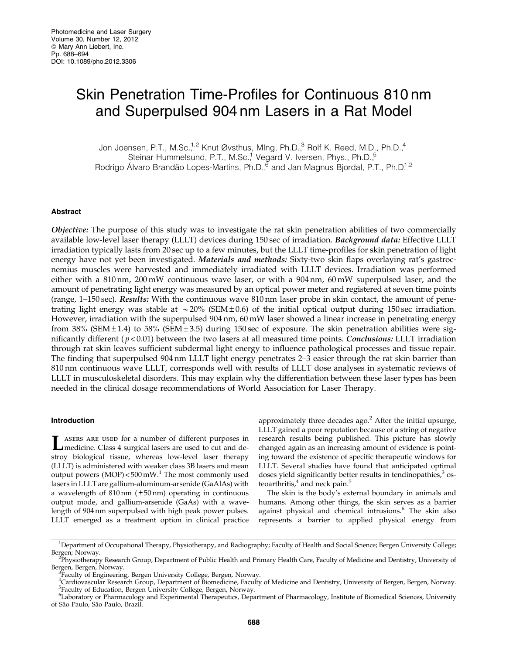# Skin Penetration Time-Profiles for Continuous 810 nm and Superpulsed 904 nm Lasers in a Rat Model

Jon Joensen, P.T., M.Sc.<sup>1,2</sup> Knut Øvsthus, Mlng, Ph.D.,<sup>3</sup> Rolf K. Reed, M.D., Ph.D.,<sup>4</sup> Steinar Hummelsund, P.T., M.Sc.,<sup>1</sup> Vegard V. Iversen, Phys., Ph.D.,<sup>5</sup> Rodrigo Álvaro Brandão Lopes-Martins, Ph.D.,<sup>6</sup> and Jan Magnus Bjordal, P.T., Ph.D<sup>1,2</sup>

## Abstract

Objective: The purpose of this study was to investigate the rat skin penetration abilities of two commercially available low-level laser therapy (LLLT) devices during 150 sec of irradiation. Background data: Effective LLLT irradiation typically lasts from 20 sec up to a few minutes, but the LLLT time-profiles for skin penetration of light energy have not yet been investigated. Materials and methods: Sixty-two skin flaps overlaying rat's gastrocnemius muscles were harvested and immediately irradiated with LLLT devices. Irradiation was performed either with a 810 nm, 200 mW continuous wave laser, or with a 904 nm, 60 mW superpulsed laser, and the amount of penetrating light energy was measured by an optical power meter and registered at seven time points (range, 1–150 sec). Results: With the continuous wave 810 nm laser probe in skin contact, the amount of penetrating light energy was stable at  $\sim$  20% (SEM  $\pm$  0.6) of the initial optical output during 150 sec irradiation. However, irradiation with the superpulsed 904 nm, 60 mW laser showed a linear increase in penetrating energy from 38% (SEM  $\pm$  1.4) to 58% (SEM  $\pm$  3.5) during 150 sec of exposure. The skin penetration abilities were significantly different ( $p < 0.01$ ) between the two lasers at all measured time points. *Conclusions:* LLLT irradiation through rat skin leaves sufficient subdermal light energy to influence pathological processes and tissue repair. The finding that superpulsed 904 nm LLLT light energy penetrates 2–3 easier through the rat skin barrier than 810 nm continuous wave LLLT, corresponds well with results of LLLT dose analyses in systematic reviews of LLLT in musculoskeletal disorders. This may explain why the differentiation between these laser types has been needed in the clinical dosage recommendations of World Association for Laser Therapy.

## Introduction

LASERS ARE USED for a number of different purposes in medicine. Class 4 surgical lasers are used to cut and destroy biological tissue, whereas low-level laser therapy (LLLT) is administered with weaker class 3B lasers and mean output powers  $(MOP) < 500$  mW.<sup>1</sup> The most commonly used lasers in LLLT are gallium-aluminum-arsenide (GaAlAs) with a wavelength of  $810 \text{ nm}$  ( $\pm 50 \text{ nm}$ ) operating in continuous output mode, and gallium-arsenide (GaAs) with a wavelength of 904 nm superpulsed with high peak power pulses. LLLT emerged as a treatment option in clinical practice approximately three decades ago. $<sup>2</sup>$  After the initial upsurge,</sup> LLLT gained a poor reputation because of a string of negative research results being published. This picture has slowly changed again as an increasing amount of evidence is pointing toward the existence of specific therapeutic windows for LLLT. Several studies have found that anticipated optimal doses yield significantly better results in tendinopathies,<sup>3</sup> osteoarthritis, $4$  and neck pain. $5$ 

The skin is the body's external boundary in animals and humans. Among other things, the skin serves as a barrier against physical and chemical intrusions.<sup>6</sup> The skin also represents a barrier to applied physical energy from

<sup>1</sup> Department of Occupational Therapy, Physiotherapy, and Radiography; Faculty of Health and Social Science; Bergen University College; Bergen; Norway. <sup>2</sup>

Physiotherapy Research Group, Department of Public Health and Primary Health Care, Faculty of Medicine and Dentistry, University of Bergen, Bergen, Norway.

<sup>&</sup>lt;sup>3</sup> Faculty of Engineering, Bergen University College, Bergen, Norway.

<sup>4</sup> Cardiovascular Research Group, Department of Biomedicine, Faculty of Medicine and Dentistry, University of Bergen, Bergen, Norway. <sup>5</sup> Faculty of Education, Bergen University College, Bergen, Norway.

<sup>6</sup> Laboratory or Pharmacology and Experimental Therapeutics, Department of Pharmacology, Institute of Biomedical Sciences, University of São Paulo, São Paulo, Brazil.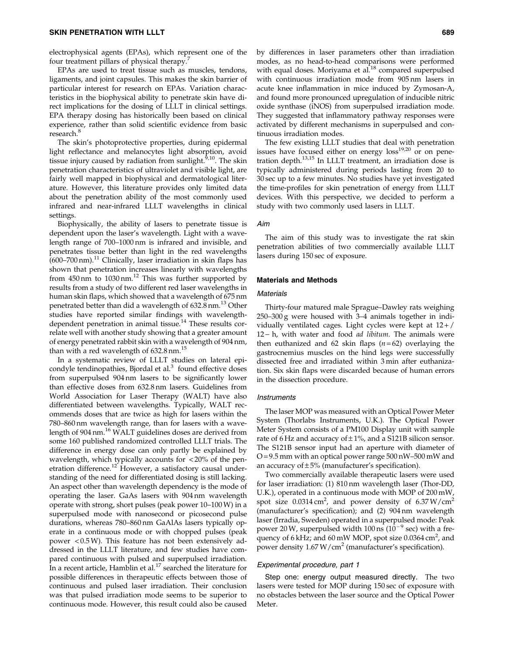electrophysical agents (EPAs), which represent one of the four treatment pillars of physical therapy.<sup>7</sup>

EPAs are used to treat tissue such as muscles, tendons, ligaments, and joint capsules. This makes the skin barrier of particular interest for research on EPAs. Variation characteristics in the biophysical ability to penetrate skin have direct implications for the dosing of LLLT in clinical settings. EPA therapy dosing has historically been based on clinical experience, rather than solid scientific evidence from basic research.<sup>8</sup>

The skin's photoprotective properties, during epidermal light reflectance and melanocytes light absorption, avoid tissue injury caused by radiation from sunlight. $6,10$ . The skin penetration characteristics of ultraviolet and visible light, are fairly well mapped in biophysical and dermatological literature. However, this literature provides only limited data about the penetration ability of the most commonly used infrared and near-infrared LLLT wavelengths in clinical settings.

Biophysically, the ability of lasers to penetrate tissue is dependent upon the laser's wavelength. Light with a wavelength range of 700–1000 nm is infrared and invisible, and penetrates tissue better than light in the red wavelengths  $(600–700 \text{ nm})$ .<sup>11</sup> Clinically, laser irradiation in skin flaps has shown that penetration increases linearly with wavelengths from 450 nm to 1030 nm.<sup>12</sup> This was further supported by results from a study of two different red laser wavelengths in human skin flaps, which showed that a wavelength of 675 nm penetrated better than did a wavelength of  $632.8$  nm.<sup>13</sup> Other studies have reported similar findings with wavelengthdependent penetration in animal tissue.<sup>14</sup> These results correlate well with another study showing that a greater amount of energy penetrated rabbit skin with a wavelength of 904 nm, than with a red wavelength of  $632.8$  nm.<sup>15</sup>

In a systematic review of LLLT studies on lateral epicondyle tendinopathies, Bjordal et al.<sup>3</sup> found effective doses from superpulsed 904 nm lasers to be significantly lower than effective doses from 632.8 nm lasers. Guidelines from World Association for Laser Therapy (WALT) have also differentiated between wavelengths. Typically, WALT recommends doses that are twice as high for lasers within the 780–860 nm wavelength range, than for lasers with a wavelength of 904 nm.<sup>16</sup> WALT guidelines doses are derived from some 160 published randomized controlled LLLT trials. The difference in energy dose can only partly be explained by wavelength, which typically accounts for  $\langle 20\% \rangle$  of the penetration difference.<sup>12</sup> However, a satisfactory causal understanding of the need for differentiated dosing is still lacking. An aspect other than wavelength dependency is the mode of operating the laser. GaAs lasers with 904 nm wavelength operate with strong, short pulses (peak power 10–100W) in a superpulsed mode with nanosecond or picosecond pulse durations, whereas 780–860 nm GaAlAs lasers typically operate in a continuous mode or with chopped pulses (peak power < 0.5W). This feature has not been extensively addressed in the LLLT literature, and few studies have compared continuous with pulsed and superpulsed irradiation. In a recent article, Hamblin et al.<sup>17</sup> searched the literature for possible differences in therapeutic effects between those of continuous and pulsed laser irradiation. Their conclusion was that pulsed irradiation mode seems to be superior to continuous mode. However, this result could also be caused

by differences in laser parameters other than irradiation modes, as no head-to-head comparisons were performed with equal doses. Moriyama et al.<sup>18</sup> compared superpulsed with continuous irradiation mode from 905 nm lasers in acute knee inflammation in mice induced by Zymosan-A, and found more pronounced upregulation of inducible nitric oxide synthase (iNOS) from superpulsed irradiation mode. They suggested that inflammatory pathway responses were activated by different mechanisms in superpulsed and continuous irradiation modes.

The few existing LLLT studies that deal with penetration issues have focused either on energy  $\cos^{19,20}$  or on penetration depth.13,15 In LLLT treatment, an irradiation dose is typically administered during periods lasting from 20 to 30 sec up to a few minutes. No studies have yet investigated the time-profiles for skin penetration of energy from LLLT devices. With this perspective, we decided to perform a study with two commonly used lasers in LLLT.

## Aim

The aim of this study was to investigate the rat skin penetration abilities of two commercially available LLLT lasers during 150 sec of exposure.

## Materials and Methods

## **Materials**

Thirty-four matured male Sprague–Dawley rats weighing 250–300 g were housed with 3–4 animals together in individually ventilated cages. Light cycles were kept at 12 + / 12 - h, with water and food ad libitum. The animals were then euthanized and 62 skin flaps  $(n=62)$  overlaying the gastrocnemius muscles on the hind legs were successfully dissected free and irradiated within 3 min after euthanization. Six skin flaps were discarded because of human errors in the dissection procedure.

#### Instruments

The laser MOP was measured with an Optical Power Meter System (Thorlabs Instruments, U.K.). The Optical Power Meter System consists of a PM100 Display unit with sample rate of 6 Hz and accuracy of  $\pm 1$ %, and a S121B silicon sensor. The S121B sensor input had an aperture with diameter of  $O = 9.5$  mm with an optical power range  $500$  nW- $500$  mW and an accuracy of  $\pm 5\%$  (manufacturer's specification).

Two commercially available therapeutic lasers were used for laser irradiation: (1) 810 nm wavelength laser (Thor-DD, U.K.), operated in a continuous mode with MOP of 200 mW, spot size  $0.0314 \text{ cm}^2$ , and power density of  $6.37 \text{ W/cm}^2$ (manufacturer's specification); and (2) 904 nm wavelength laser (Irradia, Sweden) operated in a superpulsed mode: Peak power 20 W, superpulsed width 100 ns  $(10^{-9}$  sec) with a frequency of 6 kHz; and 60 mW MOP, spot size  $0.0364 \text{ cm}^2$ , and power density  $1.67 \,\mathrm{W/cm}^2$  (manufacturer's specification).

#### Experimental procedure, part 1

Step one: energy output measured directly. The two lasers were tested for MOP during 150 sec of exposure with no obstacles between the laser source and the Optical Power Meter.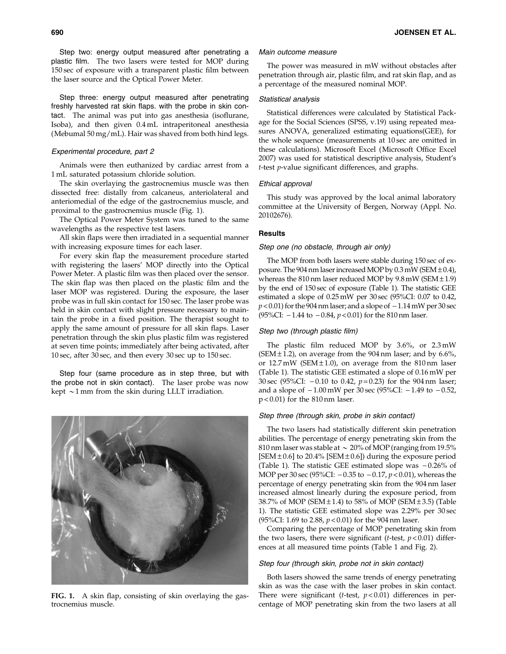Step two: energy output measured after penetrating a plastic film. The two lasers were tested for MOP during 150 sec of exposure with a transparent plastic film between the laser source and the Optical Power Meter.

Step three: energy output measured after penetrating freshly harvested rat skin flaps. with the probe in skin contact. The animal was put into gas anesthesia (isoflurane, Isoba), and then given 0.4 mL intraperitoneal anesthesia (Mebumal 50 mg/mL). Hair was shaved from both hind legs.

## Experimental procedure, part 2

Animals were then euthanized by cardiac arrest from a 1 mL saturated potassium chloride solution.

The skin overlaying the gastrocnemius muscle was then dissected free: distally from calcaneus, anteriolateral and anteriomedial of the edge of the gastrocnemius muscle, and proximal to the gastrocnemius muscle (Fig. 1).

The Optical Power Meter System was tuned to the same wavelengths as the respective test lasers.

All skin flaps were then irradiated in a sequential manner with increasing exposure times for each laser.

For every skin flap the measurement procedure started with registering the lasers' MOP directly into the Optical Power Meter. A plastic film was then placed over the sensor. The skin flap was then placed on the plastic film and the laser MOP was registered. During the exposure, the laser probe was in full skin contact for 150 sec. The laser probe was held in skin contact with slight pressure necessary to maintain the probe in a fixed position. The therapist sought to apply the same amount of pressure for all skin flaps. Laser penetration through the skin plus plastic film was registered at seven time points; immediately after being activated, after 10 sec, after 30 sec, and then every 30 sec up to 150 sec.

Step four (same procedure as in step three, but with the probe not in skin contact). The laser probe was now kept  $\sim$ 1 mm from the skin during LLLT irradiation.



FIG. 1. A skin flap, consisting of skin overlaying the gastrocnemius muscle.

## Main outcome measure

The power was measured in mW without obstacles after penetration through air, plastic film, and rat skin flap, and as a percentage of the measured nominal MOP.

## Statistical analysis

Statistical differences were calculated by Statistical Package for the Social Sciences (SPSS, v.19) using repeated measures ANOVA, generalized estimating equations(GEE), for the whole sequence (measurements at 10 sec are omitted in these calculations). Microsoft Excel (Microsoft Office Excel 2007) was used for statistical descriptive analysis, Student's t-test p-value significant differences, and graphs.

## Ethical approval

This study was approved by the local animal laboratory committee at the University of Bergen, Norway (Appl. No. 20102676).

# **Results**

## Step one (no obstacle, through air only)

The MOP from both lasers were stable during 150 sec of exposure. The 904 nm laser increased MOP by  $0.3$  mW (SEM  $\pm 0.4$ ), whereas the  $810 \text{ nm}$  laser reduced MOP by  $9.8 \text{ mW}$  (SEM $\pm 1.9$ ) by the end of 150 sec of exposure (Table 1). The statistic GEE estimated a slope of 0.25 mW per 30 sec (95%CI: 0.07 to 0.42,  $p < 0.01$ ) for the 904 nm laser; and a slope of  $-1.14$  mW per 30 sec (95%CI:  $-1.44$  to  $-0.84$ ,  $p < 0.01$ ) for the 810 nm laser.

# Step two (through plastic film)

The plastic film reduced MOP by 3.6%, or 2.3 mW (SEM  $\pm$  1.2), on average from the 904 nm laser; and by 6.6%, or  $12.7 \text{ mW}$  (SEM $\pm 1.0$ ), on average from the 810 nm laser (Table 1). The statistic GEE estimated a slope of 0.16 mW per 30 sec (95%CI:  $-0.10$  to 0.42,  $p=0.23$ ) for the 904 nm laser; and a slope of  $-1.00 \text{ mW}$  per 30 sec (95%CI:  $-1.49 \text{ to } -0.52$ , p < 0.01) for the 810 nm laser.

## Step three (through skin, probe in skin contact)

The two lasers had statistically different skin penetration abilities. The percentage of energy penetrating skin from the 810 nm laser was stable at  $\sim 20\%$  of MOP (ranging from 19.5% [SEM  $\pm$  0.6] to 20.4% [SEM  $\pm$  0.6]) during the exposure period (Table 1). The statistic GEE estimated slope was  $-0.26\%$  of MOP per 30 sec (95%CI:  $-0.35$  to  $-0.17$ ,  $p < 0.01$ ), whereas the percentage of energy penetrating skin from the 904 nm laser increased almost linearly during the exposure period, from 38.7% of MOP (SEM  $\pm$  1.4) to 58% of MOP (SEM  $\pm$  3.5) (Table 1). The statistic GEE estimated slope was 2.29% per 30 sec (95%CI: 1.69 to 2.88,  $p < 0.01$ ) for the 904 nm laser.

Comparing the percentage of MOP penetrating skin from the two lasers, there were significant (*t*-test,  $p < 0.01$ ) differences at all measured time points (Table 1 and Fig. 2).

## Step four (through skin, probe not in skin contact)

Both lasers showed the same trends of energy penetrating skin as was the case with the laser probes in skin contact. There were significant (*t*-test,  $p < 0.01$ ) differences in percentage of MOP penetrating skin from the two lasers at all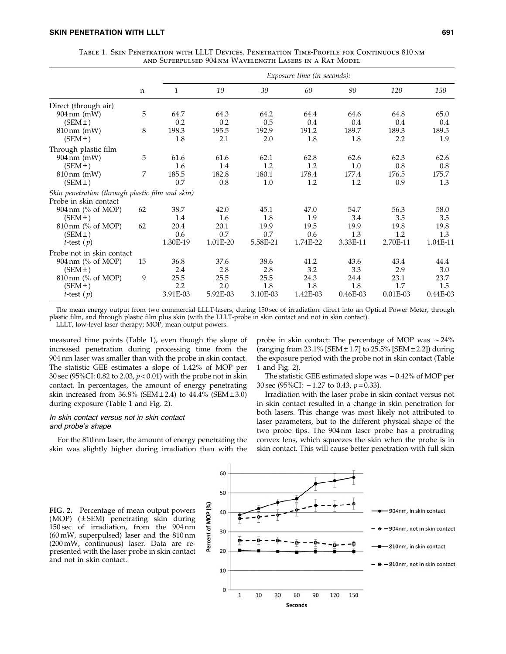|                                                  |    |          | Exposure time (in seconds): |          |          |          |            |          |  |
|--------------------------------------------------|----|----------|-----------------------------|----------|----------|----------|------------|----------|--|
|                                                  | n  |          |                             |          |          |          |            |          |  |
|                                                  |    | 1        | 10                          | 30       | 60       | 90       | 120        | 150      |  |
| Direct (through air)                             |    |          |                             |          |          |          |            |          |  |
| $904 \,\mathrm{nm} \,$ (mW)                      | 5  | 64.7     | 64.3                        | 64.2     | 64.4     | 64.6     | 64.8       | 65.0     |  |
| (SEM <sup>±</sup> )                              |    | 0.2      | 0.2                         | 0.5      | 0.4      | 0.4      | 0.4        | 0.4      |  |
| $810 \,\mathrm{nm}$ (mW)                         | 8  | 198.3    | 195.5                       | 192.9    | 191.2    | 189.7    | 189.3      | 189.5    |  |
| (SEM <sup>±</sup> )                              |    | 1.8      | 2.1                         | 2.0      | 1.8      | 1.8      | 2.2        | 1.9      |  |
| Through plastic film                             |    |          |                             |          |          |          |            |          |  |
| $904 \,\mathrm{nm}$ (mW)                         | 5  | 61.6     | 61.6                        | 62.1     | 62.8     | 62.6     | 62.3       | 62.6     |  |
| (SEM <sup>±</sup> )                              |    | 1.6      | 1.4                         | 1.2      | 1.2      | 1.0      | 0.8        | 0.8      |  |
| $810 \,\mathrm{nm}$ (mW)                         | 7  | 185.5    | 182.8                       | 180.1    | 178.4    | 177.4    | 176.5      | 175.7    |  |
| (SEM <sup>±</sup> )                              |    | 0.7      | 0.8                         | 1.0      | 1.2      | 1.2      | 0.9        | 1.3      |  |
| Skin penetration (through plastic film and skin) |    |          |                             |          |          |          |            |          |  |
| Probe in skin contact                            |    |          |                             |          |          |          |            |          |  |
| 904 nm (% of MOP)                                | 62 | 38.7     | 42.0                        | 45.1     | 47.0     | 54.7     | 56.3       | 58.0     |  |
| (SEM <sup>±</sup> )                              |    | 1.4      | 1.6                         | 1.8      | 1.9      | 3.4      | 3.5        | 3.5      |  |
| 810 nm (% of MOP)                                | 62 | 20.4     | 20.1                        | 19.9     | 19.5     | 19.9     | 19.8       | 19.8     |  |
| (SEM <sup>±</sup> )                              |    | 0.6      | 0.7                         | 0.7      | 0.6      | 1.3      | 1.2        | 1.3      |  |
| <i>t</i> -test $(p)$                             |    | 1.30E-19 | 1.01E-20                    | 5.58E-21 | 1.74E-22 | 3.33E-11 | 2.70E-11   | 1.04E-11 |  |
| Probe not in skin contact                        |    |          |                             |          |          |          |            |          |  |
| 904 nm (% of MOP)                                | 15 | 36.8     | 37.6                        | 38.6     | 41.2     | 43.6     | 43.4       | 44.4     |  |
| (SEM <sup>±</sup> )                              |    | 2.4      | 2.8                         | 2.8      | 3.2      | 3.3      | 2.9        | 3.0      |  |
| $810 \,\mathrm{nm}$ (% of MOP)                   | 9  | 25.5     | 25.5                        | 25.5     | 24.3     | 24.4     | 23.1       | 23.7     |  |
| (SEM±)                                           |    | 2.2      | 2.0                         | 1.8      | 1.8      | 1.8      | 1.7        | 1.5      |  |
| <i>t</i> -test $(p)$                             |    | 3.91E-03 | 5.92E-03                    | 3.10E-03 | 1.42E-03 | 0.46E-03 | $0.01E-03$ | 0.44E-03 |  |

Table 1. Skin Penetration with LLLT Devices. Penetration Time-Profile for Continuous 810nm and Superpulsed 904nm Wavelength Lasers in a Rat Model

The mean energy output from two commercial LLLT-lasers, during 150 sec of irradiation: direct into an Optical Power Meter, through plastic film, and through plastic film plus skin (with the LLLT-probe in skin contact and not in skin contact).

LLLT, low-level laser therapy; MOP, mean output powers.

measured time points (Table 1), even though the slope of increased penetration during processing time from the 904 nm laser was smaller than with the probe in skin contact. The statistic GEE estimates a slope of 1.42% of MOP per 30 sec (95%CI: 0.82 to 2.03,  $p < 0.01$ ) with the probe not in skin contact. In percentages, the amount of energy penetrating skin increased from  $36.8\%$  (SEM  $\pm 2.4$ ) to  $44.4\%$  (SEM  $\pm 3.0$ ) during exposure (Table 1 and Fig. 2).

# In skin contact versus not in skin contact and probe's shape

For the 810 nm laser, the amount of energy penetrating the skin was slightly higher during irradiation than with the

probe in skin contact: The percentage of MOP was  $\sim$ 24% (ranging from  $23.1\%$  [SEM  $\pm 1.7$ ] to  $25.5\%$  [SEM  $\pm 2.2$ ]) during the exposure period with the probe not in skin contact (Table 1 and Fig. 2).

The statistic GEE estimated slope was  $-0.42\%$  of MOP per 30 sec (95%CI:  $-1.27$  to 0.43,  $p=0.33$ ).

Irradiation with the laser probe in skin contact versus not in skin contact resulted in a change in skin penetration for both lasers. This change was most likely not attributed to laser parameters, but to the different physical shape of the two probe tips. The 904 nm laser probe has a protruding convex lens, which squeezes the skin when the probe is in skin contact. This will cause better penetration with full skin

FIG. 2. Percentage of mean output powers (MOP) (±SEM) penetrating skin during 150 sec of irradiation, from the 904 nm (60 mW, superpulsed) laser and the 810 nm (200 mW, continuous) laser. Data are represented with the laser probe in skin contact and not in skin contact.

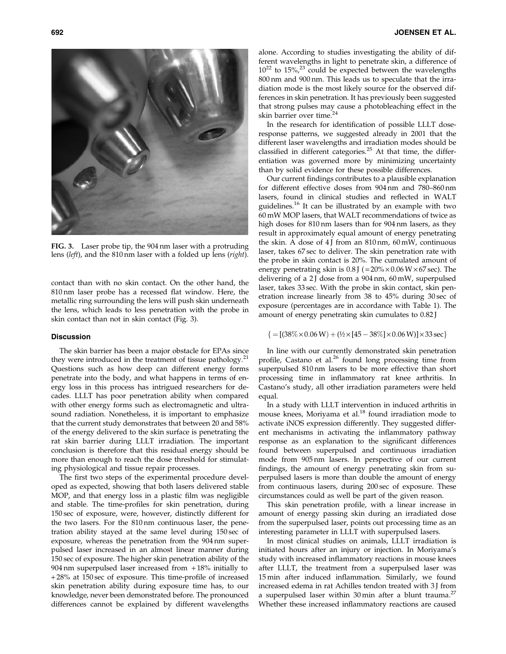alone. According to studies investigating the ability of different wavelengths in light to penetrate skin, a difference of  $10^{22}$  to  $15\%$ ,  $23$  could be expected between the wavelengths 800 nm and 900 nm. This leads us to speculate that the irradiation mode is the most likely source for the observed differences in skin penetration. It has previously been suggested that strong pulses may cause a photobleaching effect in the skin barrier over time.<sup>24</sup>

In the research for identification of possible LLLT doseresponse patterns, we suggested already in 2001 that the different laser wavelengths and irradiation modes should be classified in different categories. $25$  At that time, the differentiation was governed more by minimizing uncertainty than by solid evidence for these possible differences.

Our current findings contributes to a plausible explanation for different effective doses from 904 nm and 780–860 nm lasers, found in clinical studies and reflected in WALT guidelines.<sup>16</sup> It can be illustrated by an example with two 60 mW MOP lasers, that WALT recommendations of twice as high doses for 810 nm lasers than for 904 nm lasers, as they result in approximately equal amount of energy penetrating the skin. A dose of  $4$  J from an  $810 \text{ nm}$ ,  $60 \text{ mW}$ , continuous laser, takes 67 sec to deliver. The skin penetration rate with the probe in skin contact is 20%. The cumulated amount of energy penetrating skin is  $0.8$  J ( $=$  20% $\times$  0.06 W $\times$  67 sec). The delivering of a 2J dose from a 904 nm, 60 mW, superpulsed laser, takes 33 sec. With the probe in skin contact, skin penetration increase linearly from 38 to 45% during 30 sec of exposure (percentages are in accordance with Table 1). The amount of energy penetrating skin cumulates to 0.82 J

## ${ {\left\{ { = \left[ {\left( {38\% \times 0.06 \,W} \right) + \left( {4/2 \times \left[ {45 - 38\%} \right] \times 0.06 \,W} \right)} \right] \times 33\,sec} \right\}}$

In line with our currently demonstrated skin penetration profile, Castano et al.<sup>26</sup> found long processing time from superpulsed 810 nm lasers to be more effective than short processing time in inflammatory rat knee arthritis. In Castano's study, all other irradiation parameters were held equal.

In a study with LLLT intervention in induced arthritis in mouse knees, Moriyama et al.<sup>18</sup> found irradiation mode to activate iNOS expression differently. They suggested different mechanisms in activating the inflammatory pathway response as an explanation to the significant differences found between superpulsed and continuous irradiation mode from 905 nm lasers. In perspective of our current findings, the amount of energy penetrating skin from superpulsed lasers is more than double the amount of energy from continuous lasers, during 200 sec of exposure. These circumstances could as well be part of the given reason.

This skin penetration profile, with a linear increase in amount of energy passing skin during an irradiated dose from the superpulsed laser, points out processing time as an interesting parameter in LLLT with superpulsed lasers.

In most clinical studies on animals, LLLT irradiation is initiated hours after an injury or injection. In Moriyama's study with increased inflammatory reactions in mouse knees after LLLT, the treatment from a superpulsed laser was 15 min after induced inflammation. Similarly, we found increased edema in rat Achilles tendon treated with 3J from a superpulsed laser within 30 min after a blunt trauma.<sup>27</sup> Whether these increased inflammatory reactions are caused

FIG. 3. Laser probe tip, the 904 nm laser with a protruding lens (left), and the 810 nm laser with a folded up lens (right).

contact than with no skin contact. On the other hand, the 810 nm laser probe has a recessed flat window. Here, the metallic ring surrounding the lens will push skin underneath the lens, which leads to less penetration with the probe in skin contact than not in skin contact (Fig. 3).

# **Discussion**

The skin barrier has been a major obstacle for EPAs since they were introduced in the treatment of tissue pathology.<sup>21</sup> Questions such as how deep can different energy forms penetrate into the body, and what happens in terms of energy loss in this process has intrigued researchers for decades. LLLT has poor penetration ability when compared with other energy forms such as electromagnetic and ultrasound radiation. Nonetheless, it is important to emphasize that the current study demonstrates that between 20 and 58% of the energy delivered to the skin surface is penetrating the rat skin barrier during LLLT irradiation. The important conclusion is therefore that this residual energy should be more than enough to reach the dose threshold for stimulating physiological and tissue repair processes.

The first two steps of the experimental procedure developed as expected, showing that both lasers delivered stable MOP, and that energy loss in a plastic film was negligible and stable. The time-profiles for skin penetration, during 150 sec of exposure, were, however, distinctly different for the two lasers. For the 810 nm continuous laser, the penetration ability stayed at the same level during 150 sec of exposure, whereas the penetration from the 904 nm superpulsed laser increased in an almost linear manner during 150 sec of exposure. The higher skin penetration ability of the 904 nm superpulsed laser increased from  $+18\%$  initially to + 28% at 150 sec of exposure. This time-profile of increased skin penetration ability during exposure time has, to our knowledge, never been demonstrated before. The pronounced differences cannot be explained by different wavelengths

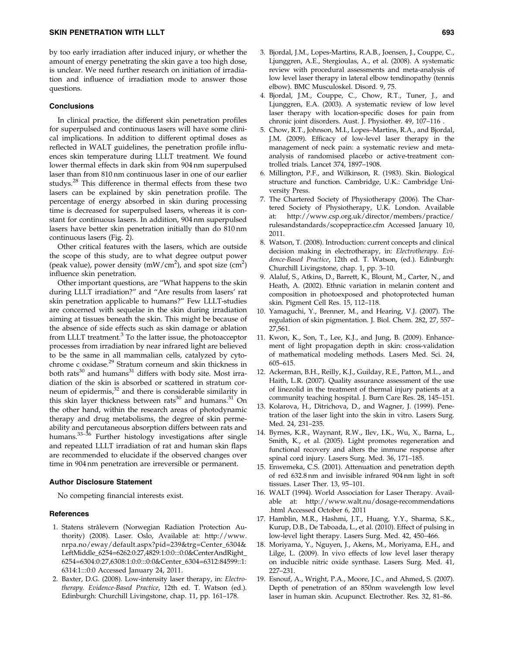by too early irradiation after induced injury, or whether the amount of energy penetrating the skin gave a too high dose, is unclear. We need further research on initiation of irradiation and influence of irradiation mode to answer those questions.

#### **Conclusions**

In clinical practice, the different skin penetration profiles for superpulsed and continuous lasers will have some clinical implications. In addition to different optimal doses as reflected in WALT guidelines, the penetration profile influences skin temperature during LLLT treatment. We found lower thermal effects in dark skin from 904 nm superpulsed laser than from 810 nm continuous laser in one of our earlier studys.<sup>28</sup> This difference in thermal effects from these two lasers can be explained by skin penetration profile. The percentage of energy absorbed in skin during processing time is decreased for superpulsed lasers, whereas it is constant for continuous lasers. In addition, 904 nm superpulsed lasers have better skin penetration initially than do 810 nm continuous lasers (Fig. 2).

Other critical features with the lasers, which are outside the scope of this study, are to what degree output power (peak value), power density (mW/cm<sup>2</sup>), and spot size (cm<sup>2</sup>) influence skin penetration.

Other important questions, are ''What happens to the skin during LLLT irradiation?'' and ''Are results from lasers' rat skin penetration applicable to humans?'' Few LLLT-studies are concerned with sequelae in the skin during irradiation aiming at tissues beneath the skin. This might be because of the absence of side effects such as skin damage or ablation from LLLT treatment.<sup>3</sup> To the latter issue, the photoacceptor processes from irradiation by near infrared light are believed to be the same in all mammalian cells, catalyzed by cytochrome c oxidase.<sup>29</sup> Stratum corneum and skin thickness in both rats $30$  and humans $31$  differs with body site. Most irradiation of the skin is absorbed or scattered in stratum corneum of epidermis,<sup>32</sup> and there is considerable similarity in this skin layer thickness between rats $30$  and humans. $31$  On the other hand, within the research areas of photodynamic therapy and drug metabolisms, the degree of skin permeability and percutaneous absorption differs between rats and humans. $33-36$  Further histology investigations after single and repeated LLLT irradiation of rat and human skin flaps are recommended to elucidate if the observed changes over time in 904 nm penetration are irreversible or permanent.

## Author Disclosure Statement

No competing financial interests exist.

#### References

- 1. Statens strålevern (Norwegian Radiation Protection Authority) (2008). Laser. Oslo, Available at: http://www. nrpa.no/eway/default.aspx?pid=239&trg=Center\_6304& LeftMiddle\_6254=6262:0:27,4829:1:0:0:::0:0&CenterAndRight\_ 6254=6304:0:27,6308:1:0:0:::0:0&Center\_6304=6312:84599::1: 6314:1:::0:0 Accessed January 24, 2011.
- 2. Baxter, D.G. (2008). Low-intensity laser therapy, in: Electrotherapy. Evidence-Based Practice, 12th ed. T. Watson (ed.). Edinburgh: Churchill Livingstone, chap. 11, pp. 161–178.
- 3. Bjordal, J.M., Lopes-Martins, R.A.B., Joensen, J., Couppe, C., Ljunggren, A.E., Stergioulas, A., et al. (2008). A systematic review with procedural assessments and meta-analysis of low level laser therapy in lateral elbow tendinopathy (tennis elbow). BMC Musculoskel. Disord. 9, 75.
- 4. Bjordal, J.M., Couppe, C., Chow, R.T., Tuner, J., and Ljunggren, E.A. (2003). A systematic review of low level laser therapy with location-specific doses for pain from chronic joint disorders. Aust. J. Physiother. 49, 107–116 .
- 5. Chow, R.T., Johnson, M.I., Lopes–Martins, R.A., and Bjordal, J.M. (2009). Efficacy of low-level laser therapy in the management of neck pain: a systematic review and metaanalysis of randomised placebo or active-treatment controlled trials. Lancet 374, 1897–1908.
- 6. Millington, P.F., and Wilkinson, R. (1983). Skin. Biological structure and function. Cambridge, U.K.: Cambridge University Press.
- 7. The Chartered Society of Physiotherapy (2006). The Chartered Society of Physiotherapy, U.K. London. Available at: http://www.csp.org.uk/director/members/practice/ rulesandstandards/scopepractice.cfm Accessed January 10, 2011.
- 8. Watson, T. (2008). Introduction: current concepts and clinical decision making in electrotherapy, in: Electrotherapy. Evidence-Based Practice, 12th ed. T. Watson, (ed.). Edinburgh: Churchill Livingstone, chap. 1, pp. 3–10.
- 9. Alaluf, S., Atkins, D., Barrett, K., Blount, M., Carter, N., and Heath, A. (2002). Ethnic variation in melanin content and composition in photoexposed and photoprotected human skin. Pigment Cell Res. 15, 112–118.
- 10. Yamaguchi, Y., Brenner, M., and Hearing, V.J. (2007). The regulation of skin pigmentation. J. Biol. Chem. 282, 27, 557– 27,561.
- 11. Kwon, K., Son, T., Lee, K.J., and Jung, B. (2009). Enhancement of light propagation depth in skin: cross-validation of mathematical modeling methods. Lasers Med. Sci. 24, 605–615.
- 12. Ackerman, B.H., Reilly, K.J., Guilday, R.E., Patton, M.L., and Haith, L.R. (2007). Quality assurance assessment of the use of linezolid in the treatment of thermal injury patients at a community teaching hospital. J. Burn Care Res. 28, 145–151.
- 13. Kolarova, H., Ditrichova, D., and Wagner, J. (1999). Penetration of the laser light into the skin in vitro. Lasers Surg. Med. 24, 231–235.
- 14. Byrnes, K.R., Waynant, R.W., Ilev, I.K., Wu, X., Barna, L., Smith, K., et al. (2005). Light promotes regeneration and functional recovery and alters the immune response after spinal cord injury. Lasers Surg. Med. 36, 171–185.
- 15. Enwemeka, C.S. (2001). Attenuation and penetration depth of red 632.8 nm and invisible infrared 904 nm light in soft tissues. Laser Ther. 13, 95–101.
- 16. WALT (1994). World Association for Laser Therapy. Available at: http://www.walt.nu/dosage-recommendations .html Accessed October 6, 2011
- 17. Hamblin, M.R., Hashmi, J.T., Huang, Y.Y., Sharma, S.K., Kurup, D.B., De Taboada, L., et al. (2010). Effect of pulsing in low-level light therapy. Lasers Surg. Med. 42, 450–466.
- 18. Moriyama, Y., Nguyen, J., Akens, M., Moriyama, E.H., and Lilge, L. (2009). In vivo effects of low level laser therapy on inducible nitric oxide synthase. Lasers Surg. Med. 41, 227–231.
- 19. Esnouf, A., Wright, P.A., Moore, J.C., and Ahmed, S. (2007). Depth of penetration of an 850nm wavelength low level laser in human skin. Acupunct. Electrother. Res. 32, 81–86.